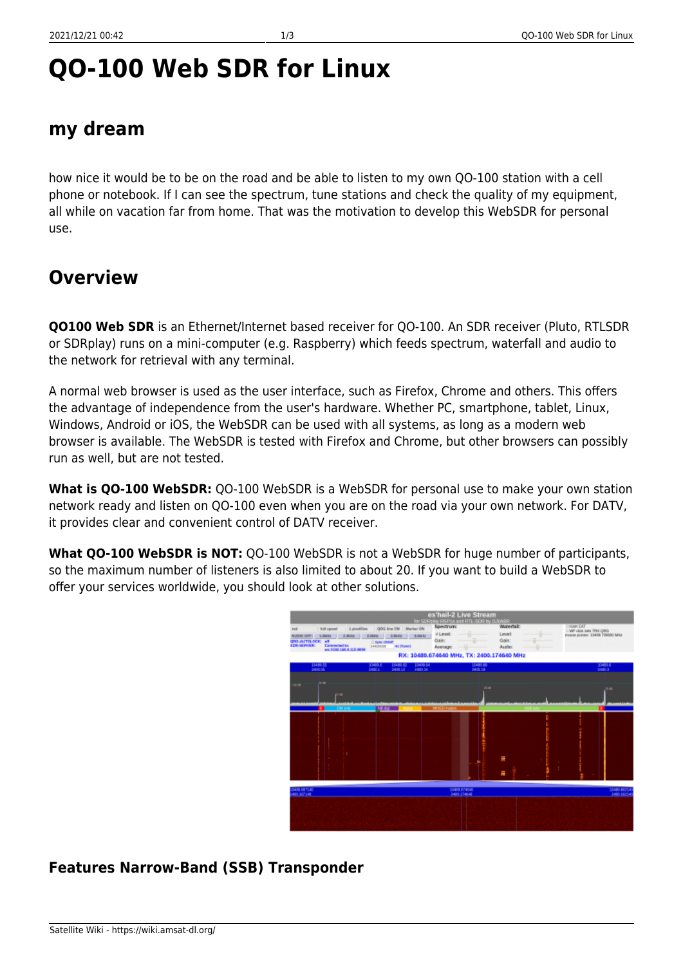# **QO-100 Web SDR for Linux**

### **my dream**

how nice it would be to be on the road and be able to listen to my own QO-100 station with a cell phone or notebook. If I can see the spectrum, tune stations and check the quality of my equipment, all while on vacation far from home. That was the motivation to develop this WebSDR for personal use.

## **Overview**

**QO100 Web SDR** is an Ethernet/Internet based receiver for QO-100. An SDR receiver (Pluto, RTLSDR or SDRplay) runs on a mini-computer (e.g. Raspberry) which feeds spectrum, waterfall and audio to the network for retrieval with any terminal.

A normal web browser is used as the user interface, such as Firefox, Chrome and others. This offers the advantage of independence from the user's hardware. Whether PC, smartphone, tablet, Linux, Windows, Android or iOS, the WebSDR can be used with all systems, as long as a modern web browser is available. The WebSDR is tested with Firefox and Chrome, but other browsers can possibly run as well, but are not tested.

**What is QO-100 WebSDR:** QO-100 WebSDR is a WebSDR for personal use to make your own station network ready and listen on QO-100 even when you are on the road via your own network. For DATV, it provides clear and convenient control of DATV receiver.

**What QO-100 WebSDR is NOT:** QO-100 WebSDR is not a WebSDR for huge number of participants, so the maximum number of listeners is also limited to about 20. If you want to build a WebSDR to offer your services worldwide, you should look at other solutions.



### **Features Narrow-Band (SSB) Transponder**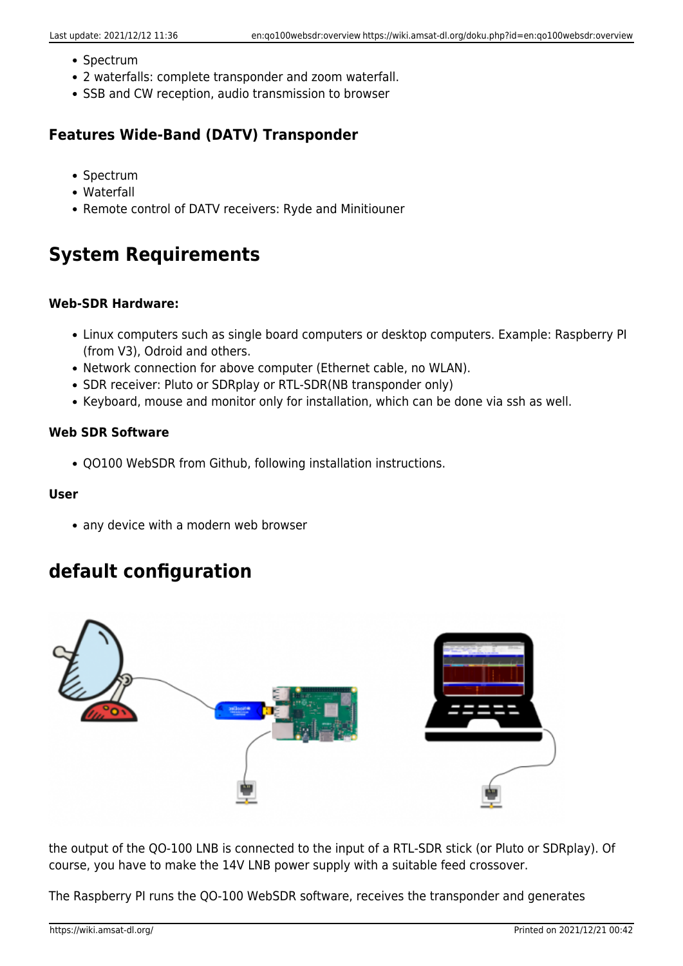- Spectrum
- 2 waterfalls: complete transponder and zoom waterfall.
- SSB and CW reception, audio transmission to browser

### **Features Wide-Band (DATV) Transponder**

- Spectrum
- Waterfall
- Remote control of DATV receivers: Ryde and Minitiouner

# **System Requirements**

#### **Web-SDR Hardware:**

- Linux computers such as single board computers or desktop computers. Example: Raspberry PI (from V3), Odroid and others.
- Network connection for above computer (Ethernet cable, no WLAN).
- SDR receiver: Pluto or SDRplay or RTL-SDR(NB transponder only)
- Keyboard, mouse and monitor only for installation, which can be done via ssh as well.

#### **Web SDR Software**

QO100 WebSDR from Github, following installation instructions.

#### **User**

• any device with a modern web browser

### **default configuration**



the output of the QO-100 LNB is connected to the input of a RTL-SDR stick (or Pluto or SDRplay). Of course, you have to make the 14V LNB power supply with a suitable feed crossover.

The Raspberry PI runs the QO-100 WebSDR software, receives the transponder and generates